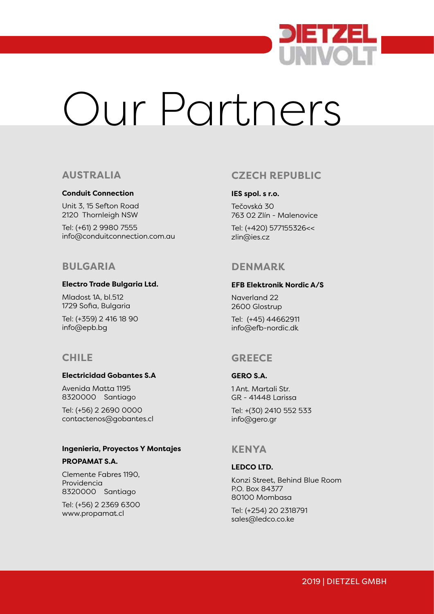

# Our Partners

## **AUSTRALIA**

#### **Conduit Connection**

Unit 3, 15 Sefton Road 2120 Thornleigh NSW

Tel: (+61) 2 9980 7555 info@conduitconnection.com.au

## **BULGARIA**

#### **Electro Trade Bulgaria Ltd.**

Mladost 1A, bl.512 1729 Sofia, Bulgaria

Tel: (+359) 2 416 18 90 info@epb.bg

# **CHILE**

#### **Electricidad Gobantes S.A**

Avenida Matta 1195 8320000 Santiago

Tel: (+56) 2 2690 0000 contactenos@gobantes.cl

#### **Ingenieria, Proyectos Y Montajes**

#### **PROPAMAT S.A.**

Clemente Fabres 1190, Providencia 8320000 Santiago

Tel: (+56) 2 2369 6300 www.propamat.cl

# **CZECH REPUBLIC**

#### **IES spol. s r.o.**

Tečovská 30 763 02 Zlín - Malenovice

Tel: (+420) 577155326<< zlin@ies.cz

# **DENMARK**

#### **EFB Elektronik Nordic A/S**

Naverland 22 2600 Glostrup

Tel: (+45) 44662911 info@efb-nordic.dk

# **GREECE**

#### **GERO S.A.**

1 Ant. Martali Str. GR - 41448 Larissa

Tel: +(30) 2410 552 533 info@gero.gr

## **KENYA**

#### **LEDCO LTD.**

Konzi Street, Behind Blue Room P.O. Box 84377 80100 Mombasa

Tel: (+254) 20 2318791 sales@ledco.co.ke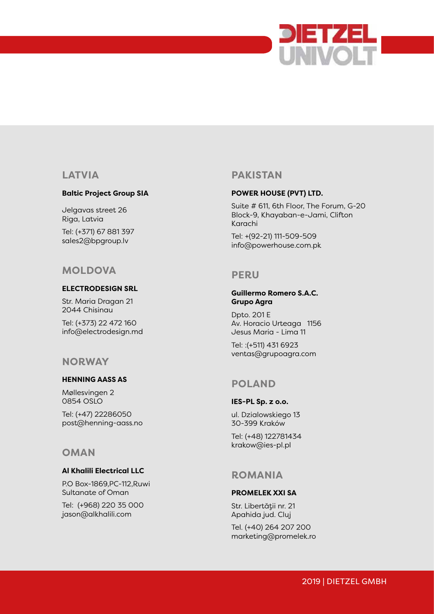

# **LATVIA**

#### **Baltic Project Group SIA**

Jelgavas street 26 Riga, Latvia

Tel: (+371) 67 881 397 sales2@bpgroup.lv

# **MOLDOVA**

#### **ELECTRODESIGN SRL**

Str. Maria Dragan 21 2044 Chisinau

Tel: (+373) 22 472 160 info@electrodesign.md

## **NORWAY**

### **HENNING AASS AS**

Møllesvingen 2 0854 OSLO Tel: (+47) 22286050 post@henning-aass.no

## **OMAN**

#### **Al Khalili Electrical LLC**

P.O Box-1869,PC-112,Ruwi Sultanate of Oman

Tel: (+968) 220 35 000 jason@alkhalili.com

# **PAKISTAN**

#### **POWER HOUSE (PVT) LTD.**

Suite # 611, 6th Floor, The Forum, G-20 Block-9, Khayaban-e-Jami, Clifton Karachi

Tel: +(92-21) 111-509-509 info@powerhouse.com.pk

## **PERU**

#### **Guillermo Romero S.A.C. Grupo Agra**

Dpto. 201 E Av. Horacio Urteaga 1156 Jesus Maria - Lima 11

Tel: :(+511) 431 6923 ventas@grupoagra.com

# **POLAND**

# **IES-PL Sp. z o.o.**

ul. Dzialowskiego 13 30-399 Kraków

Tel: (+48) 122781434 krakow@ies-pl.pl

## **ROMANIA**

#### **PROMELEK XXI SA**

Str. Libertății nr. 21 Apahida jud. Cluj

Tel. (+40) 264 207 200 marketing@promelek.ro